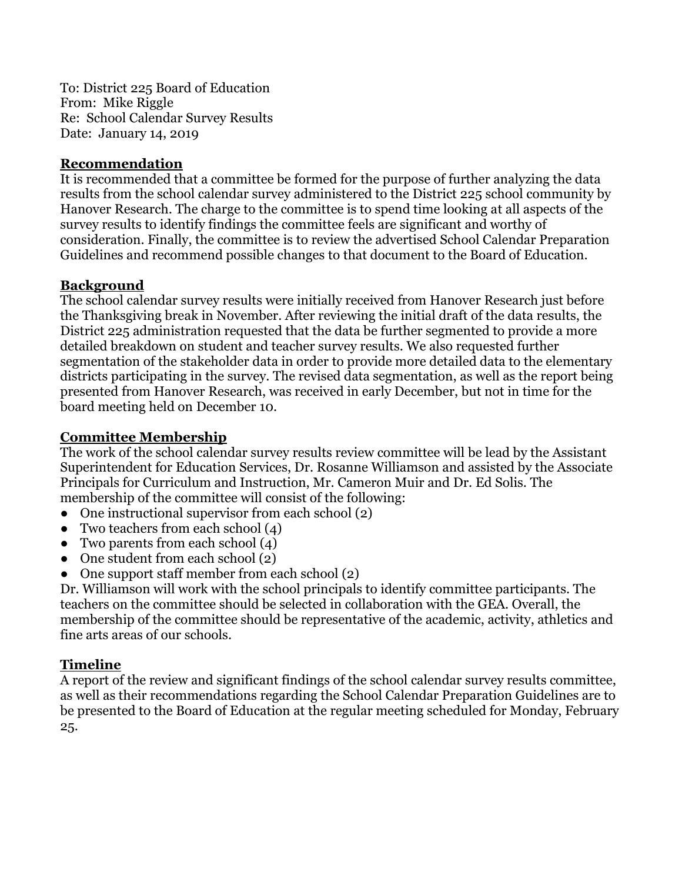To: District 225 Board of Education From: Mike Riggle Re: School Calendar Survey Results Date: January 14, 2019

#### **Recommendation**

It is recommended that a committee be formed for the purpose of further analyzing the data results from the school calendar survey administered to the District 225 school community by Hanover Research. The charge to the committee is to spend time looking at all aspects of the survey results to identify findings the committee feels are significant and worthy of consideration. Finally, the committee is to review the advertised School Calendar Preparation Guidelines and recommend possible changes to that document to the Board of Education.

#### **Background**

The school calendar survey results were initially received from Hanover Research just before the Thanksgiving break in November. After reviewing the initial draft of the data results, the District 225 administration requested that the data be further segmented to provide a more detailed breakdown on student and teacher survey results. We also requested further segmentation of the stakeholder data in order to provide more detailed data to the elementary districts participating in the survey. The revised data segmentation, as well as the report being presented from Hanover Research, was received in early December, but not in time for the board meeting held on December 10.

## **Committee Membership**

The work of the school calendar survey results review committee will be lead by the Assistant Superintendent for Education Services, Dr. Rosanne Williamson and assisted by the Associate Principals for Curriculum and Instruction, Mr. Cameron Muir and Dr. Ed Solis. The membership of the committee will consist of the following:

- One instructional supervisor from each school (2)
- Two teachers from each school (4)
- Two parents from each school (4)
- One student from each school (2)
- One support staff member from each school (2)

Dr. Williamson will work with the school principals to identify committee participants. The teachers on the committee should be selected in collaboration with the GEA. Overall, the membership of the committee should be representative of the academic, activity, athletics and fine arts areas of our schools.

## **Timeline**

A report of the review and significant findings of the school calendar survey results committee, as well as their recommendations regarding the School Calendar Preparation Guidelines are to be presented to the Board of Education at the regular meeting scheduled for Monday, February 25.